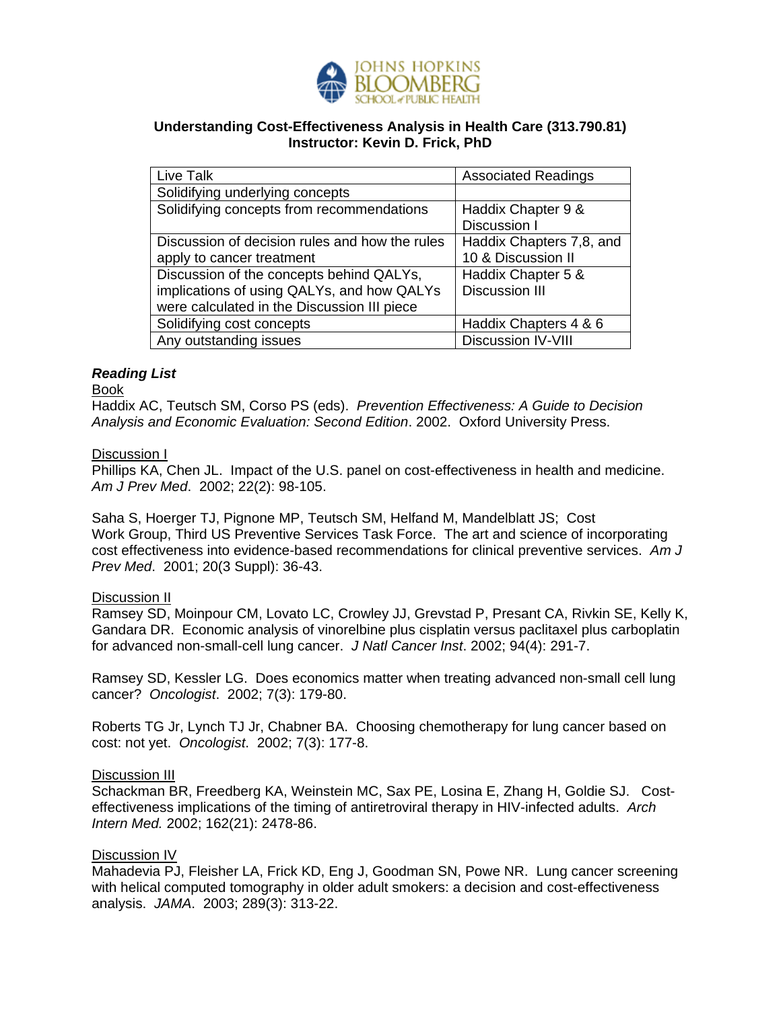

# **Understanding Cost-Effectiveness Analysis in Health Care (313.790.81) Instructor: Kevin D. Frick, PhD**

| Live Talk                                      | <b>Associated Readings</b> |
|------------------------------------------------|----------------------------|
| Solidifying underlying concepts                |                            |
| Solidifying concepts from recommendations      | Haddix Chapter 9 &         |
|                                                | Discussion I               |
| Discussion of decision rules and how the rules | Haddix Chapters 7,8, and   |
| apply to cancer treatment                      | 10 & Discussion II         |
| Discussion of the concepts behind QALYs,       | Haddix Chapter 5 &         |
| implications of using QALYs, and how QALYs     | <b>Discussion III</b>      |
| were calculated in the Discussion III piece    |                            |
| Solidifying cost concepts                      | Haddix Chapters 4 & 6      |
| Any outstanding issues                         | <b>Discussion IV-VIII</b>  |

# *Reading List*

### Book

Haddix AC, Teutsch SM, Corso PS (eds). *Prevention Effectiveness: A Guide to Decision Analysis and Economic Evaluation: Second Edition*. 2002. Oxford University Press.

### Discussion I

Phillips KA, Chen JL. Impact of the U.S. panel on cost-effectiveness in health and medicine. *Am J Prev Med*. 2002; 22(2): 98-105.

Saha S, Hoerger TJ, Pignone MP, Teutsch SM, Helfand M, Mandelblatt JS; Cost Work Group, Third US Preventive Services Task Force. The art and science of incorporating cost effectiveness into evidence-based recommendations for clinical preventive services. *Am J Prev Med*. 2001; 20(3 Suppl): 36-43.

# Discussion II

Ramsey SD, Moinpour CM, Lovato LC, Crowley JJ, Grevstad P, Presant CA, Rivkin SE, Kelly K, Gandara DR. Economic analysis of vinorelbine plus cisplatin versus paclitaxel plus carboplatin for advanced non-small-cell lung cancer. *J Natl Cancer Inst*. 2002; 94(4): 291-7.

Ramsey SD, Kessler LG. Does economics matter when treating advanced non-small cell lung cancer? *Oncologist*. 2002; 7(3): 179-80.

Roberts TG Jr, Lynch TJ Jr, Chabner BA. Choosing chemotherapy for lung cancer based on cost: not yet. *Oncologist*. 2002; 7(3): 177-8.

#### Discussion III

Schackman BR, Freedberg KA, Weinstein MC, Sax PE, Losina E, Zhang H, Goldie SJ. Costeffectiveness implications of the timing of antiretroviral therapy in HIV-infected adults. *Arch Intern Med.* 2002; 162(21): 2478-86.

# Discussion IV

Mahadevia PJ, Fleisher LA, Frick KD, Eng J, Goodman SN, Powe NR. Lung cancer screening with helical computed tomography in older adult smokers: a decision and cost-effectiveness analysis. *JAMA*. 2003; 289(3): 313-22.